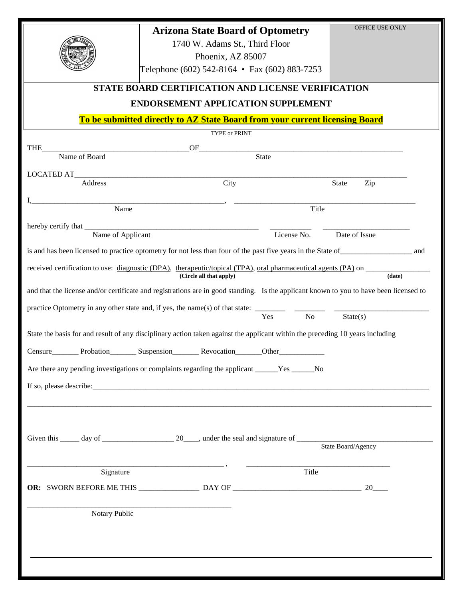|                                                                                                                                                        | <b>Arizona State Board of Optometry</b>                                                                                       |             | OFFICE USE ONLY |  |
|--------------------------------------------------------------------------------------------------------------------------------------------------------|-------------------------------------------------------------------------------------------------------------------------------|-------------|-----------------|--|
|                                                                                                                                                        | 1740 W. Adams St., Third Floor                                                                                                |             |                 |  |
|                                                                                                                                                        | Phoenix, AZ 85007<br>Telephone (602) 542-8164 • Fax (602) 883-7253                                                            |             |                 |  |
|                                                                                                                                                        |                                                                                                                               |             |                 |  |
| STATE BOARD CERTIFICATION AND LICENSE VERIFICATION                                                                                                     |                                                                                                                               |             |                 |  |
| <b>ENDORSEMENT APPLICATION SUPPLEMENT</b>                                                                                                              |                                                                                                                               |             |                 |  |
| To be submitted directly to AZ State Board from your current licensing Board                                                                           |                                                                                                                               |             |                 |  |
|                                                                                                                                                        | <b>TYPE or PRINT</b>                                                                                                          |             |                 |  |
| THE<br>Name of Board                                                                                                                                   | State                                                                                                                         |             |                 |  |
|                                                                                                                                                        |                                                                                                                               |             |                 |  |
| Address                                                                                                                                                | City                                                                                                                          |             | State<br>Zip    |  |
|                                                                                                                                                        |                                                                                                                               |             |                 |  |
| Name<br>Title                                                                                                                                          |                                                                                                                               |             |                 |  |
| Name of Applicant                                                                                                                                      |                                                                                                                               | License No. | Date of Issue   |  |
|                                                                                                                                                        |                                                                                                                               |             |                 |  |
|                                                                                                                                                        |                                                                                                                               |             |                 |  |
| received certification to use: <u>diagnostic (DPA)</u> , therapeutic/topical (TPA), oral pharmaceutical agents (PA) on $\overline{\phantom{a}}$ (date) |                                                                                                                               |             |                 |  |
| and that the license and/or certificate and registrations are in good standing. Is the applicant known to you to have been licensed to                 |                                                                                                                               |             |                 |  |
|                                                                                                                                                        |                                                                                                                               |             |                 |  |
| No No<br>State(s)<br>Yes                                                                                                                               |                                                                                                                               |             |                 |  |
|                                                                                                                                                        | State the basis for and result of any disciplinary action taken against the applicant within the preceding 10 years including |             |                 |  |
| Censure___________ Probation__________ Suspension___________ Revocation________<br>Other                                                               |                                                                                                                               |             |                 |  |
| Are there any pending investigations or complaints regarding the applicant ______Yes ______No                                                          |                                                                                                                               |             |                 |  |
|                                                                                                                                                        |                                                                                                                               |             |                 |  |
|                                                                                                                                                        |                                                                                                                               |             |                 |  |
|                                                                                                                                                        |                                                                                                                               |             |                 |  |
|                                                                                                                                                        |                                                                                                                               |             |                 |  |
|                                                                                                                                                        | State Board/Agency                                                                                                            |             |                 |  |
|                                                                                                                                                        |                                                                                                                               |             |                 |  |
| Signature                                                                                                                                              |                                                                                                                               | Title       |                 |  |
|                                                                                                                                                        |                                                                                                                               |             |                 |  |
|                                                                                                                                                        |                                                                                                                               |             |                 |  |
| Notary Public                                                                                                                                          |                                                                                                                               |             |                 |  |
|                                                                                                                                                        |                                                                                                                               |             |                 |  |
|                                                                                                                                                        |                                                                                                                               |             |                 |  |
|                                                                                                                                                        |                                                                                                                               |             |                 |  |
|                                                                                                                                                        |                                                                                                                               |             |                 |  |